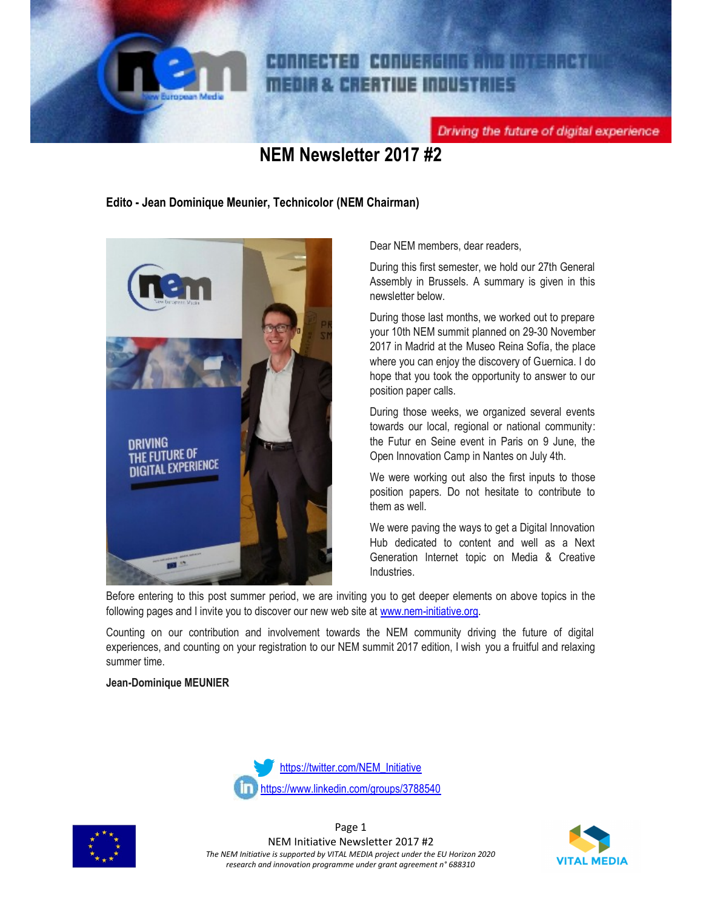

## CONNECTED CONVERGING AND INTERACTI **MEDIA & CREATIVE INDUSTRIES**

Driving the future of digital experience

## **NEM Newsletter 2017 #2**

**Edito - Jean Dominique Meunier, Technicolor (NEM Chairman)**



Dear NEM members, dear readers,

During this first semester, we hold our 27th General Assembly in Brussels. A summary is given in this newsletter below.

During those last months, we worked out to prepare your 10th NEM summit planned on 29-30 November 2017 in Madrid at the Museo Reina Sofía, the place where you can enjoy the discovery of Guernica. I do hope that you took the opportunity to answer to our position paper calls.

During those weeks, we organized several events towards our local, regional or national community: the Futur en Seine event in Paris on 9 June, the Open Innovation Camp in Nantes on July 4th.

We were working out also the first inputs to those position papers. Do not hesitate to contribute to them as well.

We were paving the ways to get a Digital Innovation Hub dedicated to content and well as a Next Generation Internet topic on Media & Creative Industries.

Before entering to this post summer period, we are inviting you to get deeper elements on above topics in the following pages and I invite you to discover our new web site at www.nem-initiative.org.

Counting on our contribution and involvement towards the NEM community driving the future of digital experiences, and counting on your registration to our NEM summit 2017 edition, I wish you a fruitful and relaxing summer time.

### **Jean-Dominique MEUNIER**





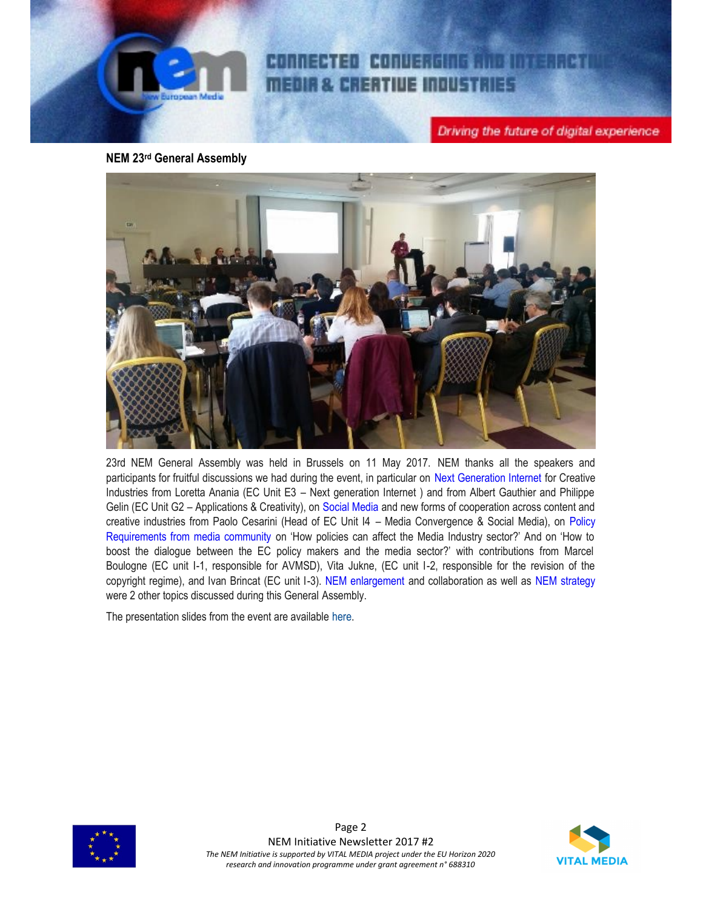

CONNECTED CONVERGING AND INTERACTI **MEDIA & CREATIVE INDUSTRIES** 

Driving the future of digital experience

**NEM 23rd General Assembly**



23rd NEM General Assembly was held in Brussels on 11 May 2017. NEM thanks all the speakers and participants for fruitful discussions we had during the event, in particular on Next Generation Internet for Creative Industries from Loretta Anania (EC Unit E3 – Next generation Internet ) and from Albert Gauthier and Philippe Gelin (EC Unit G2 – Applications & Creativity), on Social Media and new forms of cooperation across content and creative industries from Paolo Cesarini (Head of EC Unit I4 – Media Convergence & Social Media), on Policy Requirements from media community on 'How policies can affect the Media Industry sector?' And on 'How to boost the dialogue between the EC policy makers and the media sector?' with contributions from Marcel Boulogne (EC unit I-1, responsible for AVMSD), Vita Jukne, (EC unit I-2, responsible for the revision of the copyright regime), and Ivan Brincat (EC unit I-3). NEM enlargement and collaboration as well as NEM strategy were 2 other topics discussed during this General Assembly.

The presentation slides from the event are available here.



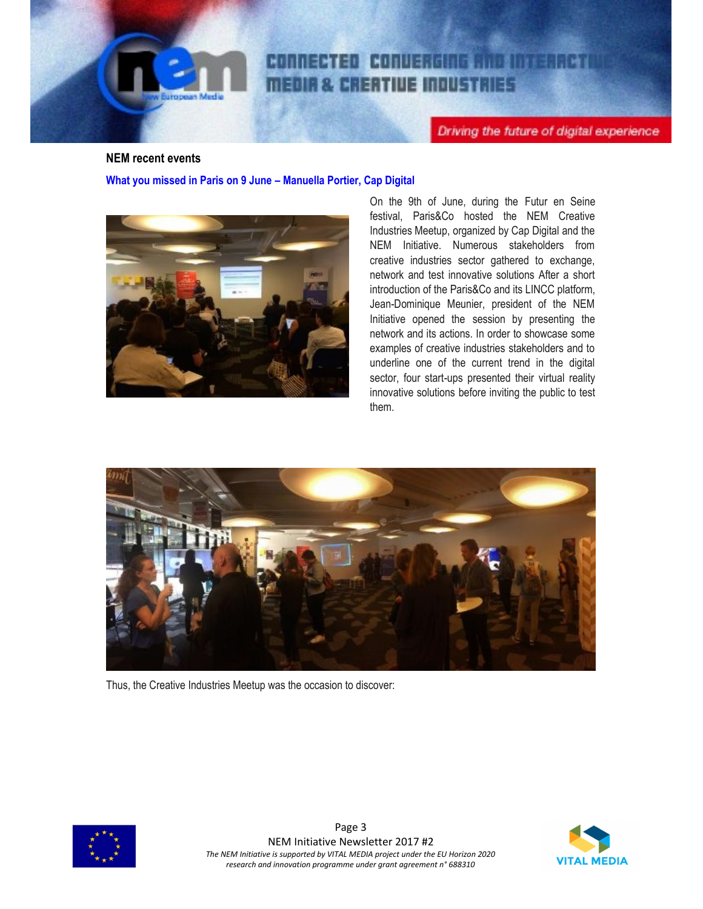

Driving the future of digital experience

### **NEM recent events**

**What you missed in Paris on 9 June – Manuella Portier, Cap Digital**



On the 9th of June, during the Futur en Seine festival, Paris&Co hosted the NEM Creative Industries Meetup, organized by Cap Digital and the NEM Initiative. Numerous stakeholders from creative industries sector gathered to exchange, network and test innovative solutions After a short introduction of the Paris&Co and its LINCC platform, Jean-Dominique Meunier, president of the NEM Initiative opened the session by presenting the network and its actions. In order to showcase some examples of creative industries stakeholders and to underline one of the current trend in the digital sector, four start-ups presented their virtual reality innovative solutions before inviting the public to test them.



Thus, the Creative Industries Meetup was the occasion to discover:



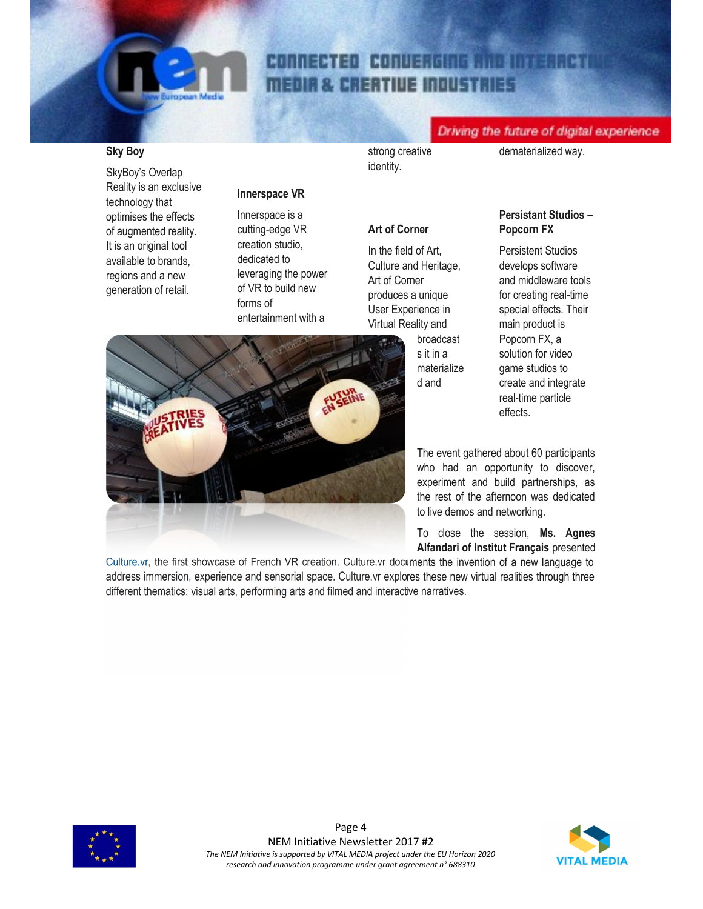# CONNECTED CONVERGING AND INTERACTI **MEDIA & CREATIVE INDUSTRIES**

### Driving the future of digital experience

### **Sky Boy**

SkyBoy's Overlap Reality is an exclusive technology that optimises the effects of augmented reality. It is an original tool available to brands, regions and a new generation of retail.

### **Innerspace VR**

Innerspace is a cutting-edge VR creation studio, dedicated to leveraging the power of VR to build new forms of entertainment with a

strong creative identity.

dematerialized way.

### **Art of Corner**

In the field of Art, Culture and Heritage, Art of Corner produces a unique User Experience in Virtual Reality and

broadcast s it in a materialize d and

### **Persistant Studios – Popcorn FX**

Persistent Studios develops software and middleware tools for creating real-time special effects. Their main product is Popcorn FX, a solution for video game studios to create and integrate real-time particle effects.

The event gathered about 60 participants who had an opportunity to discover, experiment and build partnerships, as the rest of the afternoon was dedicated to live demos and networking.

To close the session, **Ms. Agnes Alfandari of Institut Français** presented

Culture.vr, the first showcase of French VR creation. Culture.vr documents the invention of a new language to address immersion, experience and sensorial space. Culture.vr explores these new virtual realities through three different thematics: visual arts, performing arts and filmed and interactive narratives.





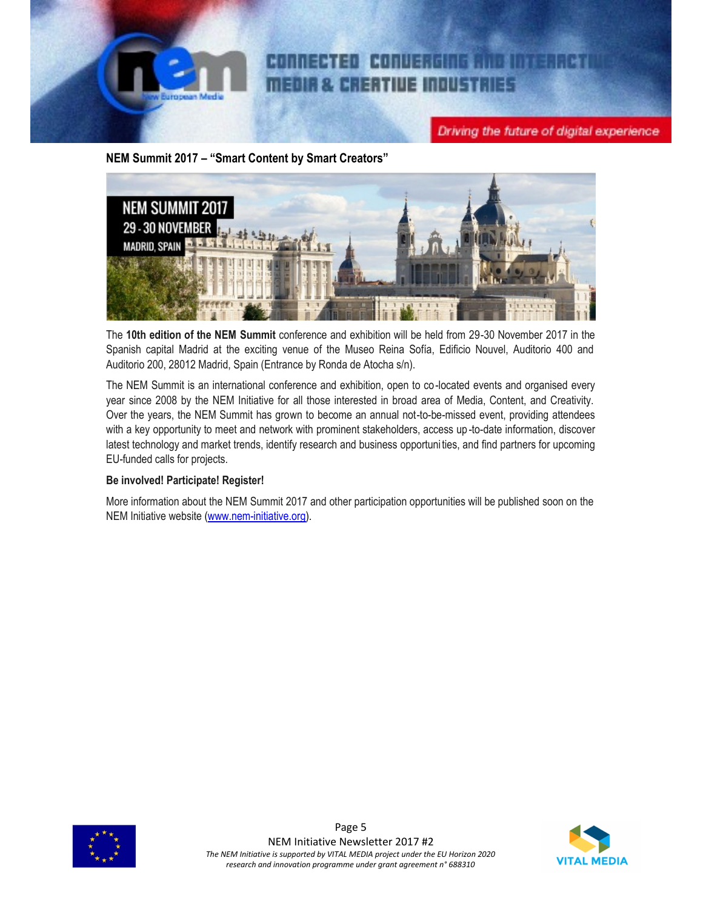

**NEM Summit 2017 – "Smart Content by Smart Creators"**



The **10th edition of the NEM Summit** conference and exhibition will be held from 29-30 November 2017 in the Spanish capital Madrid at the exciting venue of the Museo Reina Sofía, Edificio Nouvel, Auditorio 400 and Auditorio 200, 28012 Madrid, Spain (Entrance by Ronda de Atocha s/n).

The NEM Summit is an international conference and exhibition, open to co-located events and organised every year since 2008 by the NEM Initiative for all those interested in broad area of Media, Content, and Creativity. Over the years, the NEM Summit has grown to become an annual not-to-be-missed event, providing attendees with a key opportunity to meet and network with prominent stakeholders, access up -to-date information, discover latest technology and market trends, identify research and business opportunities, and find partners for upcoming EU-funded calls for projects.

### **Be involved! Participate! Register!**

More information about the NEM Summit 2017 and other participation opportunities will be published soon on the NEM Initiative website (www.nem-initiative.org).



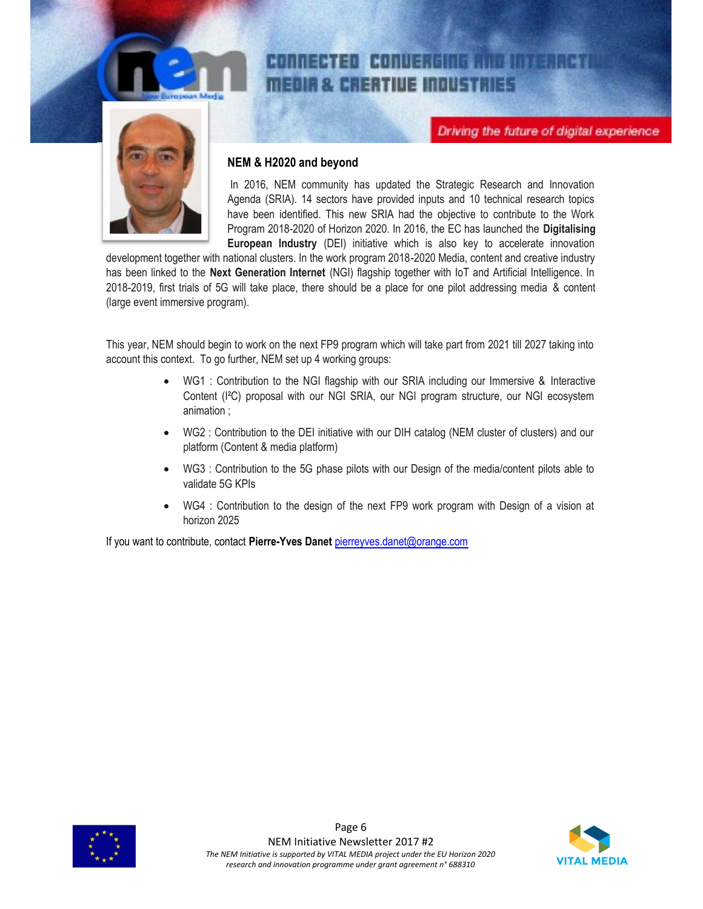

### 1999年11月11日,1月11日,1月11日,1月11日,1月11日,1月11日,1月11日,1月11日,1月11日,1月11日,1月11日,1月11日,1月 地名美国 **EDIR & CREATIVE INDUSTRIES**

Driving the future of digital experience



### **NEM & H2020 and beyond**

In 2016, NEM community has updated the Strategic Research and Innovation Agenda (SRIA). 14 sectors have provided inputs and 10 technical research topics have been identified. This new SRIA had the objective to contribute to the Work Program 2018-2020 of Horizon 2020. In 2016, the EC has launched the **Digitalising European Industry** (DEI) initiative which is also key to accelerate innovation

development together with national clusters. In the work program 2018-2020 Media, content and creative industry has been linked to the **Next Generation Internet** (NGI) flagship together with IoT and Artificial Intelligence. In 2018-2019, first trials of 5G will take place, there should be a place for one pilot addressing media & content (large event immersive program).

This year, NEM should begin to work on the next FP9 program which will take part from 2021 till 2027 taking into account this context. To go further, NEM set up 4 working groups:

- WG1 : Contribution to the NGI flagship with our SRIA including our Immersive & Interactive Content (I²C) proposal with our NGI SRIA, our NGI program structure, our NGI ecosystem animation ;
- WG2 : Contribution to the DEI initiative with our DIH catalog (NEM cluster of clusters) and our platform (Content & media platform)
- WG3 : Contribution to the 5G phase pilots with our Design of the media/content pilots able to validate 5G KPIs
- WG4 : Contribution to the design of the next FP9 work program with Design of a vision at horizon 2025

If you want to contribute, contact **Pierre-Yves Danet** pierreyves.danet@orange.com



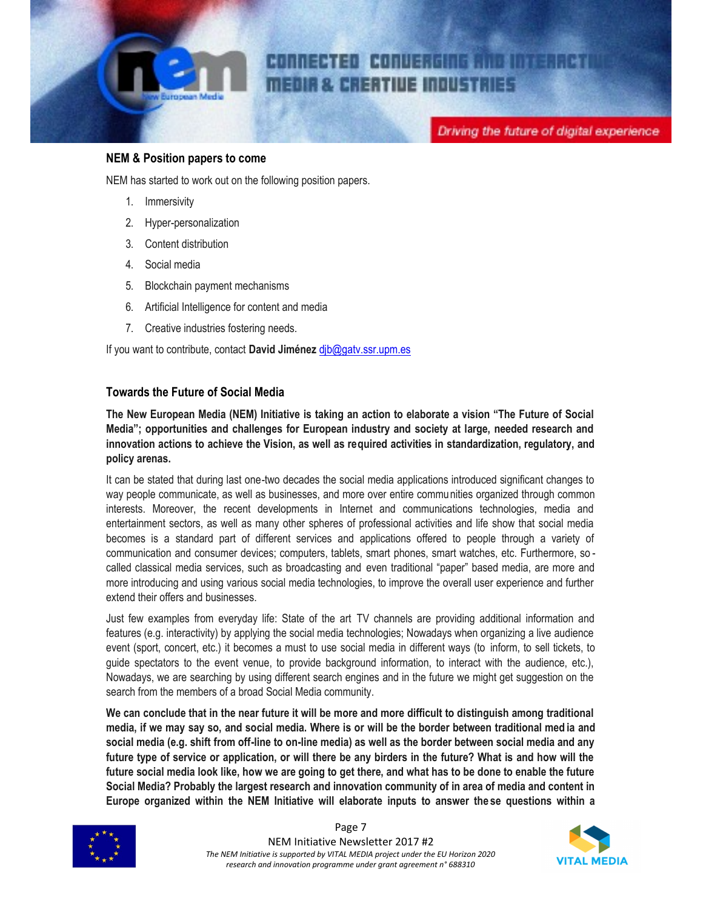

### **NEM & Position papers to come**

NEM has started to work out on the following position papers.

- 1. Immersivity
- 2. Hyper-personalization
- 3. Content distribution
- 4. Social media
- 5. Blockchain payment mechanisms
- 6. Artificial Intelligence for content and media
- 7. Creative industries fostering needs.

If you want to contribute, contact **David Jiménez** djb@gatv.ssr.upm.es

### **Towards the Future of Social Media**

**The New European Media (NEM) Initiative is taking an action to elaborate a vision "The Future of Social Media"; opportunities and challenges for European industry and society at large, needed research and innovation actions to achieve the Vision, as well as required activities in standardization, regulatory, and policy arenas.**

It can be stated that during last one-two decades the social media applications introduced significant changes to way people communicate, as well as businesses, and more over entire communities organized through common interests. Moreover, the recent developments in Internet and communications technologies, media and entertainment sectors, as well as many other spheres of professional activities and life show that social media becomes is a standard part of different services and applications offered to people through a variety of communication and consumer devices; computers, tablets, smart phones, smart watches, etc. Furthermore, so called classical media services, such as broadcasting and even traditional "paper" based media, are more and more introducing and using various social media technologies, to improve the overall user experience and further extend their offers and businesses.

Just few examples from everyday life: State of the art TV channels are providing additional information and features (e.g. interactivity) by applying the social media technologies; Nowadays when organizing a live audience event (sport, concert, etc.) it becomes a must to use social media in different ways (to inform, to sell tickets, to guide spectators to the event venue, to provide background information, to interact with the audience, etc.), Nowadays, we are searching by using different search engines and in the future we might get suggestion on the search from the members of a broad Social Media community.

**We can conclude that in the near future it will be more and more difficult to distinguish among traditional media, if we may say so, and social media. Where is or will be the border between traditional med ia and social media (e.g. shift from off-line to on-line media) as well as the border between social media and any future type of service or application, or will there be any birders in the future? What is and how will the future social media look like, how we are going to get there, and what has to be done to enable the future Social Media? Probably the largest research and innovation community of in area of media and content in Europe organized within the NEM Initiative will elaborate inputs to answer the se questions within a**